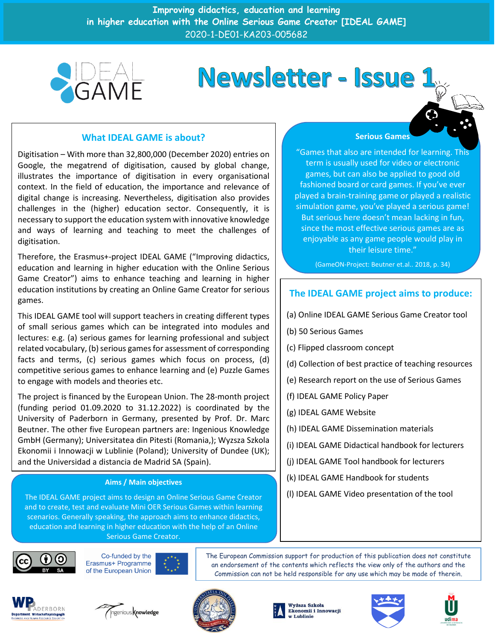**Improving didactics, education and learning in higher education with the Online Serious Game Creator [IDEAL GAME]** 2020-1-DE01-KA203-005682



# Newsletter - Issue

## **What IDEAL GAME is about?**

Digitisation – With more than 32,800,000 (December 2020) entries on Google, the megatrend of digitisation, caused by global change, illustrates the importance of digitisation in every organisational context. In the field of education, the importance and relevance of digital change is increasing. Nevertheless, digitisation also provides challenges in the (higher) education sector. Consequently, it is necessary to support the education system with innovative knowledge and ways of learning and teaching to meet the challenges of digitisation.

Therefore, the Erasmus+-project IDEAL GAME ("Improving didactics, education and learning in higher education with the Online Serious Game Creator") aims to enhance teaching and learning in higher education institutions by creating an Online Game Creator for serious games.

This IDEAL GAME tool will support teachers in creating different types of small serious games which can be integrated into modules and lectures: e.g. (a) serious games for learning professional and subject related vocabulary, (b) serious games for assessment of corresponding facts and terms, (c) serious games which focus on process, (d) competitive serious games to enhance learning and (e) Puzzle Games to engage with models and theories etc.

The project is financed by the European Union. The 28-month project (funding period 01.09.2020 to 31.12.2022) is coordinated by the University of Paderborn in Germany, presented by Prof. Dr. Marc Beutner. The other five European partners are: Ingenious Knowledge GmbH (Germany); Universitatea din Pitesti (Romania,); Wyzsza Szkola Ekonomii i Innowacji w Lublinie (Poland); University of Dundee (UK); and the Universidad a distancia de Madrid SA (Spain).

#### **Aims / Main objectives**

The IDEAL GAME project aims to design an Online Serious Game Creator and to create, test and evaluate Mini OER Serious Games within learning scenarios. Generally speaking, the approach aims to enhance didactics, education and learning in higher education with the help of an Online Serious Game Creator.



The European Commission support for production of this publication does not constitute an endorsement of the contents which reflects the view only of the authors and the Commission can not be held responsible for any use which may be made of therein.













### **Serious Games**

"Games that also are intended for learning. This term is usually used for video or electronic games, but can also be applied to good old fashioned board or card games. If you've ever played a brain-training game or played a realistic simulation game, you've played a serious game! But serious here doesn't mean lacking in fun, since the most effective serious games are as enjoyable as any game people would play in their leisure time."

(GameON-Project: Beutner et.al.. 2018, p. 34)

# **The IDEAL GAME project aims to produce:**

- (a) Online IDEAL GAME Serious Game Creator tool
- (b) 50 Serious Games
- (c) Flipped classroom concept
- (d) Collection of best practice of teaching resources
- (e) Research report on the use of Serious Games
- (f) IDEAL GAME Policy Paper
- (g) IDEAL GAME Website
- (h) IDEAL GAME Dissemination materials
- (i) IDEAL GAME Didactical handbook for lecturers
- (j) IDEAL GAME Tool handbook for lecturers
- (k) IDEAL GAME Handbook for students
- (l) IDEAL GAME Video presentation of the tool